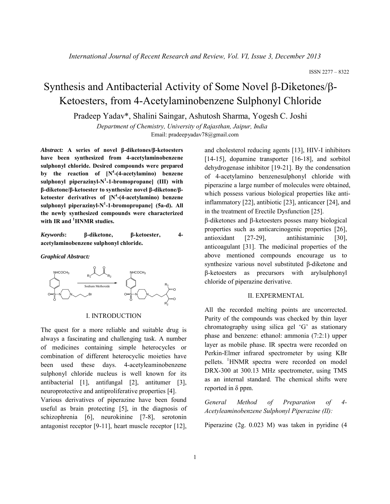# Synthesis and Antibacterial Activity of Some Novel  $\beta$ -Diketones/ $\beta$ -Ketoesters, from 4-Acetylaminobenzene Sulphonyl Chloride

Pradeep Yadav\*, Shalini Saingar, Ashutosh Sharma, Yogesh C. Joshi

*Department of Chemistry, University of Rajasthan, Jaipur, India* Email: pradeepyadav78@gmail.com

*Abstract:* **A series of novel β-diketones/β-ketoesters have been synthesized from 4-acetylaminobenzene sulphonyl chloride. Desired compounds were prepared**  by the reaction of  $[N^4-(4\text{-acetylamin})$  benzene **sulphonyl piperazinyl-N1 -1-bromopropane] (III) with β-diketone/β-ketoester to synthesize novel β-diketone/βketoester derivatives of [N<sup>4</sup> -(4-acetylamino) benzene sulphonyl piperazinyl-N1 -1-bromopropane] (5a-d). All the newly synthesized compounds were characterized with IR and 1 HNMR studies.**

*Keywords***: β-diketone, β-ketoester, 4 acetylaminobenzene sulphonyl chloride.**

*Graphical Abstract:*



I. INTRODUCTION

The quest for a more reliable and suitable drug is always a fascinating and challenging task. A number of medicines containing simple heterocycles or combination of different heterocyclic moieties have been used these days. 4-acetyleaminobenzene sulphonyl chloride nucleus is well known for its antibacterial [1], antifungal [2], antitumer [3], neuroprotective and antiproliferative properties [4].

Various derivatives of piperazine have been found useful as brain protecting [5], in the diagnosis of schizophrenia [6], neurokinine [7-8], serotonin antagonist receptor [9-11], heart muscle receptor [12], and cholesterol reducing agents [13], HIV-I inhibitors [14-15], dopamine transporter [16-18], and sorbitol dehydrogenase inhibitor [19-21]. By the condensation of 4-acetylamino benzenesulphonyl chloride with piperazine a large number of molecules were obtained, which possess various biological properties like antiinflammatory [22], antibiotic [23], anticancer [24], and in the treatment of Erectile Dysfunction [25].  $β$ -diketones and  $β$ -ketoesters posses many biological properties such as anticarcinogenic properties [26], antioxidant [27-29], antihistaminic [30], anticoagulant [31]. The medicinal properties of the above mentioned compounds encourage us to synthesize various novel substituted β-diketone and β-ketoesters as precursors with arylsulphonyl

#### II. EXPERMENTAL

chloride of piperazine derivative.

All the recorded melting points are uncorrected. Purity of the compounds was checked by thin layer chromatography using silica gel 'G' as stationary phase and benzene: ethanol: ammonia (7:2:1) upper layer as mobile phase. IR spectra were recorded on Perkin-Elmer infrared spectrometer by using KBr pellets. <sup>1</sup>HNMR spectra were recorded on model DRX-300 at 300.13 MHz spectrometer, using TMS as an internal standard. The chemical shifts were reported in δ ppm.

*General Method of Preparation of 4- Acetyleaminobenzene Sulphonyl Piperazine (II):*

Piperazine (2g. 0.023 M) was taken in pyridine (4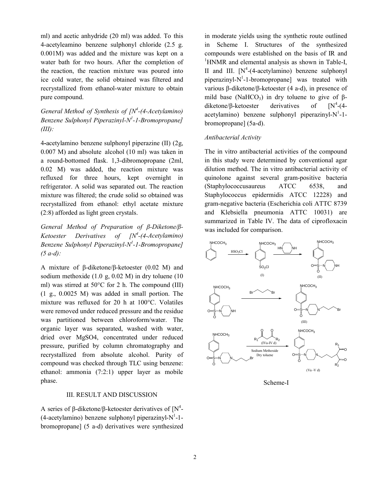ml) and acetic anhydride (20 ml) was added. To this 4-acetyleamino benzene sulphonyl chloride (2.5 g. 0.001M) was added and the mixture was kept on a water bath for two hours. After the completion of the reaction, the reaction mixture was poured into ice cold water, the solid obtained was filtered and recrystallized from ethanol-water mixture to obtain pure compound.

*General Method of Synthesis of [N<sup>4</sup>-(4-Acetylamino) Benzene Sulphonyl Piperazinyl-N<sup>1</sup> -1-Bromopropane] (III):*

4**-**acetylamino benzene sulphonyl piperazine (II) (2g, 0.007 M) and absolute alcohol (10 ml) was taken in a round-bottomed flask. 1,3-dibromopropane (2ml, 0.02 M) was added, the reaction mixture was refluxed for three hours, kept overnight in refrigerator. A solid was separated out. The reaction mixture was filtered; the crude solid so obtained was recrystallized from ethanol: ethyl acetate mixture (2:8) afforded as light green crystals.

*General Method of Preparation of β-Diketone/β-Ketoester Derivatives of [N4 -(4-Acetylamino) Benzene Sulphonyl Piperazinyl-N1 -1-Bromopropane] (5 a-d):*

A mixture of β-diketone/β-ketoester (0.02 M) and sodium methoxide (1.0 g, 0.02 M) in dry toluene (10 ml) was stirred at 50°C for 2 h. The compound (III) (1 g., 0.0025 M) was added in small portion. The mixture was refluxed for 20 h at 100°C. Volatiles were removed under reduced pressure and the residue was partitioned between chloroform/water. The organic layer was separated, washed with water, dried over MgSO4, concentrated under reduced pressure, purified by column chromatography and recrystallized from absolute alcohol. Purity of compound was checked through TLC using benzene: ethanol: ammonia (7:2:1) upper layer as mobile phase.

## III. RESULT AND DISCUSSION

A series of  $\beta$ -diketone/ $\beta$ -ketoester derivatives of [N<sup>4</sup>- $(4$ -acetylamino) benzene sulphonyl piperazinyl-N<sup>1</sup>-1bromopropane] (5 a-d) derivatives were synthesized in moderate yields using the synthetic route outlined in Scheme I. Structures of the synthesized compounds were established on the basis of IR and <sup>1</sup>HNMR and elemental analysis as shown in Table-I, II and III.  $[N^4-(4\text{-acetylamin})$  benzene sulphonyl piperazinyl-N<sup>1</sup>-1-bromopropane] was treated with various β-diketone/β-ketoester (4 a-d), in presence of mild base (NaHCO<sub>3</sub>) in dry toluene to give of  $\beta$ diketone/β-ketoester derivatives of  $[N^4-(4$  $acety$ lamino) benzene sulphonyl piperazinyl-N<sup>1</sup>-1bromopropane] (5a-d).

### *Antibacterial Activity*

The in vitro antibacterial activities of the compound in this study were determined by conventional agar dilution method. The in vitro antibacterial activity of quinolone against several gram-positive bacteria (Staphylococcusaureus ATCC 6538, and Staphylococcus epidermidis ATCC 12228) and gram-negative bacteria (Escherichia coli ATTC 8739 and Klebsiella pneumonia ATTC 10031) are summarized in Table IV. The data of ciprofloxacin was included for comparison.



Scheme-I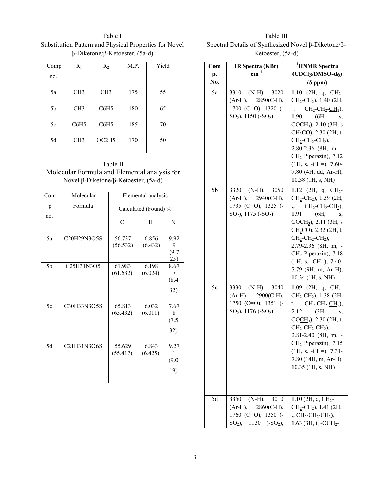Table I Substitution Pattern and Physical Properties for Novel β-Diketone/β-Ketoester, (5a-d)

| Comp | $R_1$            | $R_2$            | M.P. | Yield |
|------|------------------|------------------|------|-------|
| no.  |                  |                  |      |       |
| 5a   | CH <sub>3</sub>  | CH <sub>3</sub>  | 175  | 55    |
| 5b   | CH <sub>3</sub>  | C6H <sub>5</sub> | 180  | 65    |
| 5c   | C6H <sub>5</sub> | C6H <sub>5</sub> | 185  | 70    |
| 5d   | CH <sub>3</sub>  | OC2H5            | 170  | 50    |

| Table II                                     |
|----------------------------------------------|
| Molecular Formula and Elemental analysis for |
| Novel β-Diketone/β-Ketoester, $(5a-d)$       |

| Com             | Molecular                                                     | Elemental analysis   |                  |                           |
|-----------------|---------------------------------------------------------------|----------------------|------------------|---------------------------|
| p<br>no.        | Formula                                                       | Calculated (Found) % |                  |                           |
|                 |                                                               | $\mathcal{C}$        | H                | N                         |
| 5a              | C20H29N3O5S                                                   | 56.737<br>(56.532)   | 6.856<br>(6.432) | 9.92<br>9<br>(9.7)<br>25) |
| 5b              | C <sub>25</sub> H <sub>3</sub> 1N <sub>3</sub> O <sub>5</sub> | 61.983<br>(61.632)   | 6.198<br>(6.024) | 8.67<br>7<br>(8.4)<br>32) |
| 5c              | C30H33N3O5S                                                   | 65.813<br>(65.432)   | 6.032<br>(6.011) | 7.67<br>8<br>(7.5)<br>32) |
| $\overline{5d}$ | C21H31N3O6S                                                   | 55.629<br>(55.417)   | 6.843<br>(6.425) | 9.27<br>1<br>(9.0)<br>19) |

Table III Spectral Details of Synthesized Novel β-Diketone/β-Ketoester, (5a-d)

| Com | IR Spectra (KBr)                                                                                           | <sup>1</sup> HNMR Spectra                                                                                                                                                                                                                                                                                                                                                                             |
|-----|------------------------------------------------------------------------------------------------------------|-------------------------------------------------------------------------------------------------------------------------------------------------------------------------------------------------------------------------------------------------------------------------------------------------------------------------------------------------------------------------------------------------------|
| p.  | $\text{cm}^{-1}$                                                                                           | $(CDCl3/DMSO-d6)$                                                                                                                                                                                                                                                                                                                                                                                     |
| No. |                                                                                                            | $(\delta$ ppm)                                                                                                                                                                                                                                                                                                                                                                                        |
| 5a  | 3310 (N-H), 3020<br>$(Ar-H), 2850(C-H),$<br>1700 (C=O), 1320 (-<br>$SO_2$ ), 1150 (- $SO_2$ )              | $1.10$ (2H, q, CH <sub>2</sub> -<br>$CH_2$ -CH <sub>2</sub> ), 1.40 (2H,<br>t, $CH_2\text{-}CH_2\text{-}CH_2$ ),<br>$1.90 \t\t (6H,$<br>S,<br>COCH <sub>3</sub> ), 2.10 (3H, s<br>$\underline{CH}_3CO$ , 2.30 (2H, t,<br>$CH2$ -CH <sub>2</sub> -CH <sub>2</sub> ),<br>2.80-2.36 (8H, m, -<br>CH <sub>2</sub> Piperazin), 7.12<br>$(1H, s, -CH=), 7.60-$<br>7.80 (4H, dd, Ar-H),<br>10.38 (1H, s, NH) |
| 5b  | 3320 (N-H), 3050<br>$(Ar-H), 2940(C-H),$<br>1735 (C=O), 1325 (-<br>$SO_2$ ), 1175 (- $SO_2$ )              | 1.12 (2H, q, $CH_2$ -<br>$CH_2$ -CH <sub>2</sub> ), 1.39 (2H,<br>t, $CH_2\text{-}CH_2\text{-}CH_2$ ),<br>1.91<br>(6H,<br>S,<br>COCH <sub>3</sub> ), 2.11 (3H, s<br>$CH3CO$ ), 2.32 (2H, t,<br>$CH2$ -CH <sub>2</sub> -CH <sub>2</sub> ),<br>2.79-2.36 (8H, m, -<br>CH <sub>2</sub> Piperazin), 7.18<br>$(1H, s, -CH=), 7.40-$<br>7.79 (9H, m, Ar-H),<br>10.34 (1H, s, NH)                             |
| 5c  | 3330 (N-H), 3040<br>$(Ar-H)$ 2900(C-H),<br>1750 (C=O), 1351 (-<br>$SO_2$ ), 1176 (-SO <sub>2</sub> )       | 1.09 (2H, q, $CH_2$ -<br>$\underline{CH}_2$ -CH <sub>2</sub> ), 1.38 (2H,<br>t, $CH_2\text{-}CH_2\text{-}CH_2$ ),<br>2.12<br>(3H,<br>S,<br>$COCH3$ ), 2.30 (2H, t,<br>$\underline{CH}_2$ -CH <sub>2</sub> -CH <sub>2</sub> ),<br>2.81-2.40 (8H, m, -<br>CH <sub>2</sub> Piperazin), 7.15<br>$(H, s, -CH=), 7.31$ -<br>7.80 (14H, m, Ar-H),<br>10.35 (1H, s, NH)                                       |
| 5d  | 3350<br>$(N-H),$<br>3010<br>2860(C-H),<br>$(Ar-H),$<br>1760 (C=O), 1350 (-<br>$SO2$ ),<br>1130 $(-SO_2)$ , | 1.10 (2H, q, $CH2$ -<br>$\underline{CH}_2$ -CH <sub>2</sub> ), 1.41 (2H,<br>t, $CH_2$ - $CH_2$ - $CH_2$ ),<br>1.63 (3H, t, -OCH <sub>2</sub> -                                                                                                                                                                                                                                                        |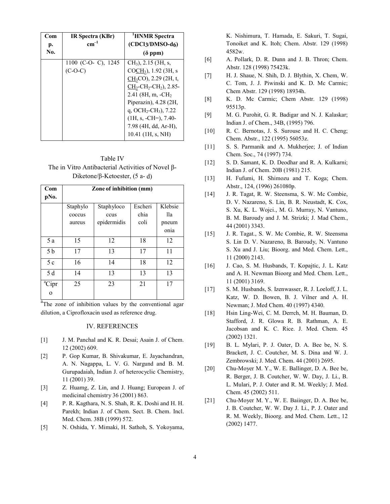| Com | IR Spectra (KBr)    | <sup>'</sup> HNMR Spectra                         |  |
|-----|---------------------|---------------------------------------------------|--|
| p.  | $\rm cm^{-1}$       | $(CDCl3/DMSO-d6)$                                 |  |
| No. |                     | $(\delta$ ppm)                                    |  |
|     | 1100 (C-O- C), 1245 | $CH3$ ), 2.15 (3H, s,                             |  |
|     | $(C-O-C)$           | $COCH3$ ), 1.92 (3H, s                            |  |
|     |                     | $CH_3CO$ , 2.29 (2H, t,                           |  |
|     |                     | $CH_2$ -CH <sub>2</sub> -CH <sub>2</sub> ), 2.85- |  |
|     |                     | $2.41$ (8H, m, $-CH2$ )                           |  |
|     |                     | Piperazin), $4.28$ ( $2H$ ,                       |  |
|     |                     | q, OCH <sub>2</sub> -CH <sub>3</sub> ), 7.22      |  |
|     |                     | $(1H, s, -CH=), 7.40-$                            |  |
|     |                     | 7.98 (4H, dd, Ar-H),                              |  |
|     |                     | $10.41$ (1H, s, NH)                               |  |

Table IV The in Vitro Antibacterial Activities of Novel β-Diketone/β-Ketoester, (5 a- d)

| Com<br>pNo.       | Zone of inhibition (mm) |             |         |         |
|-------------------|-------------------------|-------------|---------|---------|
|                   | Staphylo                | Staphyloco  | Escheri | Klebsie |
|                   | coccus                  | ccus        | chia    | 11a     |
|                   | aureus                  | epidermidis | coli    | pneum   |
|                   |                         |             |         | onia    |
| 5 a               | 15                      | 12          | 18      | 12      |
| 5 b               | 17                      | 13          | 17      | 11      |
| 5c                | 16                      | 14          | 18      | 12      |
| 5 d               | 14                      | 13          | 13      | 13      |
| <sup>a</sup> Cipr | 25                      | 23          | 21      | 17      |
| $\Omega$          |                         |             |         |         |

<sup>a</sup>The zone of inhibition values by the conventional agar dilution, a Ciprofloxacin used as reference drug.

## IV. REFERENCES

- [1] J. M. Panchal and K. R. Desai; Asain J. of Chem. 12 (2002) 609.
- [2] P. Gop Kumar, B. Shivakumar, E. Jayachandran, A. N. Nagappa, L. V. G. Nargund and B. M. Gurupadaiah, Indian J. of heterocyclic Chemistry, 11 (2001) 39.
- [3] Z. Huamg, Z. Lin, and J. Huang; European J. of medicinal chemistry 36 (2001) 863.
- [4] P. R. Kagthara, N. S. Shah, R. K. Doshi and H. H. Parekh; Indian J. of Chem. Sect. B. Chem. Incl. Med. Chem. 38B (1999) 572.
- [5] N. Oshida, Y. Mimaki, H. Sathoh, S. Yokoyama,

K. Nishimura, T. Hamada, E. Sakuri, T. Sugai, Tonoiket and K. Itoh; Chem. Abstr. 129 (1998) 4582w.

- [6] A. Pollark, D. R. Dunn and J. B. Thron; Chem. Abstr. 128 (1998) 75423k.
- [7] H. J. Shaue, N. Shih, D. J. Blythin, X. Chem, W. C. Tom, J. J. Piwinski and K. D. Mc Carmic; Chem Abstr. 129 (1998) 18934h.
- [8] K. D. Mc Carmic; Chem Abstr. 129 (1998) 95513p.
- [9] M. G. Purohit, G. R. Badigar and N. J. Kalaskar; Indian J. of Chem., 34B, (1995) 796.
- [10] R. C. Bernotas, J. S. Surouse and H. C. Cheng; Chem. Abstr., 122 (1995) 56053z.
- [11] S. S. Parmanik and A. Mukherjee; J. of Indian Chem. Soc., 74 (1997) 734.
- [12] S. D. Samant, K. D. Deodhar and R. A. Kulkarni; Indian J. of Chem. 20B (1981) 215.
- [13] H. Fufumi, H. Shimozu and T. Koga; Chem. Abstr., 124, (1996) 261080p.
- [14] J. R. Tagat, R. W. Steensma, S. W. Mc Combie, D. V. Nazareno, S. Lin, B. R. Neustadt, K. Cox, S. Xu, K. L. Wojci., M. G. Murray, N. Vantuno, B. M. Baroudy and J. M. Strizki; J. Mad Chem., 44 (2001) 3343.
- [15] J. R. Tagat., S. W. Mc Combie, R. W. Steensma S. Lin D. V. Nazareno, B. Baroudy, N. Vantuno S. Xu and J. Liu; Bioorg. and Med. Chem. Lett., 11 (2000) 2143.
- [16] J. Cao, S. M. Husbands, T. Kopajtic, J. L. Katz and A. H. Newman Bioorg and Med. Chem. Lett., 11 (2001) 3169.
- [17] S. M. Husbands, S. Izenwasser, R. J. Loeloff, J. L. Katz, W. D. Bowen, B. J. Vilner and A. H. Newman; J. Med Chem. 40 (1997) 4340.
- [18] Hsin Ling-Wei, C. M. Derrch, M. H. Bauman, D. Stafford, J. R. Glowa R. B. Rathman, A. E. Jacobsan and K. C. Rice. J. Med. Chem. 45 (2002) 1321.
- [19] B. L. Mylari, P. J. Oater, D. A. Bee be, N. S. Brackett, J. C. Coutcher, M. S. Dina and W. J. Zembrowski; J. Med. Chem. 44 (2001) 2695.
- [20] Chu-Moyer M. Y., W. E. Ballinger, D. A. Bee be, R. Berger, J. B. Coutcher, W. W. Day, J. Li., B. L. Mulari, P. J. Oater and R. M. Weekly; J. Med. Chem. 45 (2002) 511.
- [21] Chu-Moyer M. Y., W. E. Baiinger, D. A. Bee be, J. B. Coutcher, W. W. Day J. Li., P. J. Oater and R. M. Weekly, Bioorg. and Med. Chem. Lett., 12 (2002) 1477.